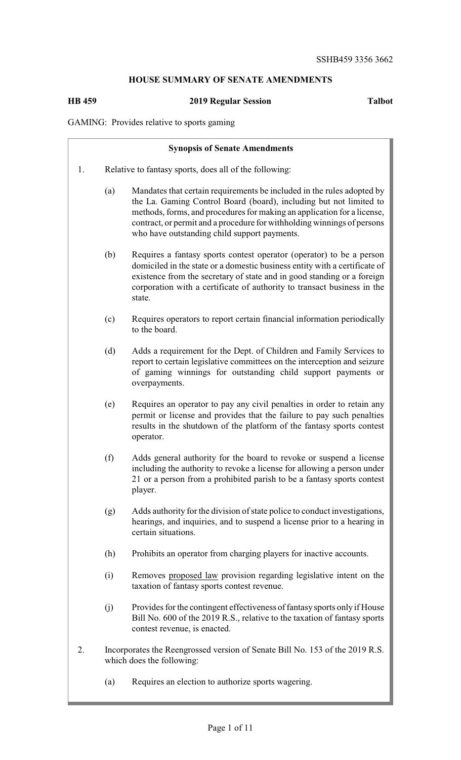# **HOUSE SUMMARY OF SENATE AMENDMENTS**

# **HB 459 2019 Regular Session Talbot**

GAMING: Provides relative to sports gaming

| <b>Synopsis of Senate Amendments</b> |                                                        |                                                                                                                                                                                                                                                                                                                                                    |  |
|--------------------------------------|--------------------------------------------------------|----------------------------------------------------------------------------------------------------------------------------------------------------------------------------------------------------------------------------------------------------------------------------------------------------------------------------------------------------|--|
| 1.                                   | Relative to fantasy sports, does all of the following: |                                                                                                                                                                                                                                                                                                                                                    |  |
|                                      | (a)                                                    | Mandates that certain requirements be included in the rules adopted by<br>the La. Gaming Control Board (board), including but not limited to<br>methods, forms, and procedures for making an application for a license,<br>contract, or permit and a procedure for withholding winnings of persons<br>who have outstanding child support payments. |  |
|                                      | (b)                                                    | Requires a fantasy sports contest operator (operator) to be a person<br>domiciled in the state or a domestic business entity with a certificate of<br>existence from the secretary of state and in good standing or a foreign<br>corporation with a certificate of authority to transact business in the<br>state.                                 |  |
|                                      | (c)                                                    | Requires operators to report certain financial information periodically<br>to the board.                                                                                                                                                                                                                                                           |  |
|                                      | (d)                                                    | Adds a requirement for the Dept. of Children and Family Services to<br>report to certain legislative committees on the interception and seizure<br>of gaming winnings for outstanding child support payments or<br>overpayments.                                                                                                                   |  |
|                                      | (e)                                                    | Requires an operator to pay any civil penalties in order to retain any<br>permit or license and provides that the failure to pay such penalties<br>results in the shutdown of the platform of the fantasy sports contest<br>operator.                                                                                                              |  |
|                                      | (f)                                                    | Adds general authority for the board to revoke or suspend a license<br>including the authority to revoke a license for allowing a person under<br>21 or a person from a prohibited parish to be a fantasy sports contest<br>player.                                                                                                                |  |
|                                      | (g)                                                    | Adds authority for the division of state police to conduct investigations,<br>hearings, and inquiries, and to suspend a license prior to a hearing in<br>certain situations.                                                                                                                                                                       |  |
|                                      | (h)                                                    | Prohibits an operator from charging players for inactive accounts.                                                                                                                                                                                                                                                                                 |  |
|                                      | (i)                                                    | Removes proposed law provision regarding legislative intent on the<br>taxation of fantasy sports contest revenue.                                                                                                                                                                                                                                  |  |
|                                      | (j)                                                    | Provides for the contingent effectiveness of fantasy sports only if House<br>Bill No. 600 of the 2019 R.S., relative to the taxation of fantasy sports<br>contest revenue, is enacted.                                                                                                                                                             |  |
| 2.                                   |                                                        | Incorporates the Reengrossed version of Senate Bill No. 153 of the 2019 R.S.<br>which does the following:                                                                                                                                                                                                                                          |  |
|                                      | (a)                                                    | Requires an election to authorize sports wagering.                                                                                                                                                                                                                                                                                                 |  |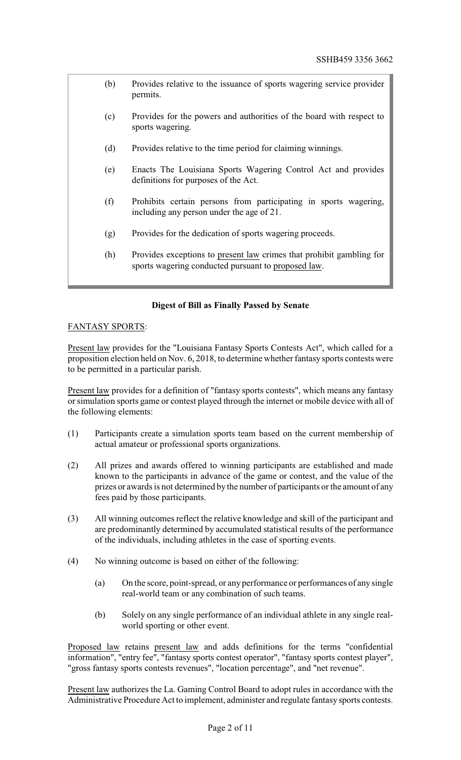- (b) Provides relative to the issuance of sports wagering service provider permits.
- (c) Provides for the powers and authorities of the board with respect to sports wagering.
- (d) Provides relative to the time period for claiming winnings.
- (e) Enacts The Louisiana Sports Wagering Control Act and provides definitions for purposes of the Act.
- (f) Prohibits certain persons from participating in sports wagering, including any person under the age of 21.
- (g) Provides for the dedication of sports wagering proceeds.
- (h) Provides exceptions to present law crimes that prohibit gambling for sports wagering conducted pursuant to proposed law.

## **Digest of Bill as Finally Passed by Senate**

#### FANTASY SPORTS:

Present law provides for the "Louisiana Fantasy Sports Contests Act", which called for a proposition election held on Nov. 6, 2018, to determine whether fantasy sports contests were to be permitted in a particular parish.

Present law provides for a definition of "fantasy sports contests", which means any fantasy or simulation sports game or contest played through the internet or mobile device with all of the following elements:

- (1) Participants create a simulation sports team based on the current membership of actual amateur or professional sports organizations.
- (2) All prizes and awards offered to winning participants are established and made known to the participants in advance of the game or contest, and the value of the prizes or awards is not determined by the number of participants or the amount of any fees paid by those participants.
- (3) All winning outcomes reflect the relative knowledge and skill of the participant and are predominantly determined by accumulated statistical results of the performance of the individuals, including athletes in the case of sporting events.
- (4) No winning outcome is based on either of the following:
	- (a) On the score, point-spread, or any performance or performances of any single real-world team or any combination of such teams.
	- (b) Solely on any single performance of an individual athlete in any single realworld sporting or other event.

Proposed law retains present law and adds definitions for the terms "confidential information", "entry fee", "fantasy sports contest operator", "fantasy sports contest player", "gross fantasy sports contests revenues", "location percentage", and "net revenue".

Present law authorizes the La. Gaming Control Board to adopt rules in accordance with the Administrative Procedure Act to implement, administer and regulate fantasy sports contests.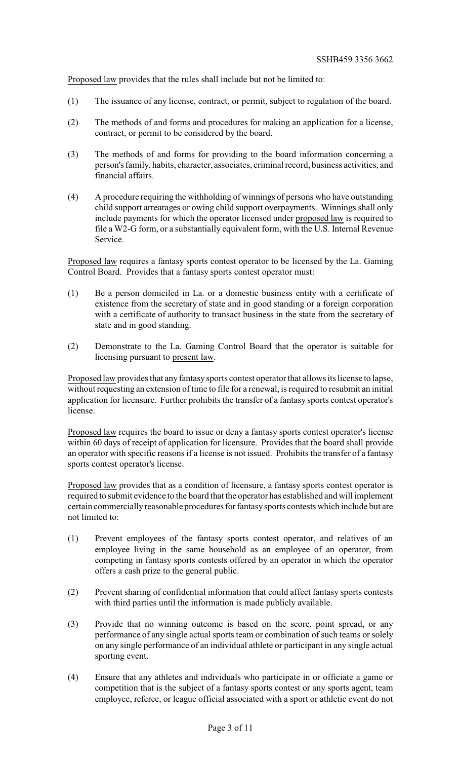Proposed law provides that the rules shall include but not be limited to:

- (1) The issuance of any license, contract, or permit, subject to regulation of the board.
- (2) The methods of and forms and procedures for making an application for a license, contract, or permit to be considered by the board.
- (3) The methods of and forms for providing to the board information concerning a person's family, habits, character, associates, criminal record, business activities, and financial affairs.
- (4) A procedure requiring the withholding of winnings of persons who have outstanding child support arrearages or owing child support overpayments. Winnings shall only include payments for which the operator licensed under proposed law is required to file a W2-G form, or a substantially equivalent form, with the U.S. Internal Revenue Service.

Proposed law requires a fantasy sports contest operator to be licensed by the La. Gaming Control Board. Provides that a fantasy sports contest operator must:

- (1) Be a person domiciled in La. or a domestic business entity with a certificate of existence from the secretary of state and in good standing or a foreign corporation with a certificate of authority to transact business in the state from the secretary of state and in good standing.
- (2) Demonstrate to the La. Gaming Control Board that the operator is suitable for licensing pursuant to present law.

Proposed law provides that any fantasysports contest operator that allows its license to lapse, without requesting an extension of time to file for a renewal, is required to resubmit an initial application for licensure. Further prohibits the transfer of a fantasy sports contest operator's license.

Proposed law requires the board to issue or deny a fantasy sports contest operator's license within 60 days of receipt of application for licensure. Provides that the board shall provide an operator with specific reasons if a license is not issued. Prohibits the transfer of a fantasy sports contest operator's license.

Proposed law provides that as a condition of licensure, a fantasy sports contest operator is required to submit evidence to the board that the operator has established and will implement certain commerciallyreasonable procedures for fantasysports contests which include but are not limited to:

- (1) Prevent employees of the fantasy sports contest operator, and relatives of an employee living in the same household as an employee of an operator, from competing in fantasy sports contests offered by an operator in which the operator offers a cash prize to the general public.
- (2) Prevent sharing of confidential information that could affect fantasy sports contests with third parties until the information is made publicly available.
- (3) Provide that no winning outcome is based on the score, point spread, or any performance of any single actual sports team or combination of such teams or solely on any single performance of an individual athlete or participant in any single actual sporting event.
- (4) Ensure that any athletes and individuals who participate in or officiate a game or competition that is the subject of a fantasy sports contest or any sports agent, team employee, referee, or league official associated with a sport or athletic event do not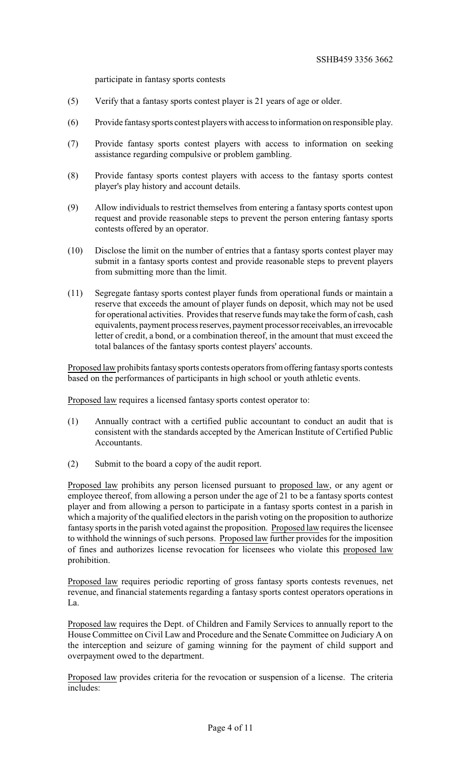participate in fantasy sports contests

- (5) Verify that a fantasy sports contest player is 21 years of age or older.
- (6) Provide fantasysports contest players with access to information on responsible play.
- (7) Provide fantasy sports contest players with access to information on seeking assistance regarding compulsive or problem gambling.
- (8) Provide fantasy sports contest players with access to the fantasy sports contest player's play history and account details.
- (9) Allow individuals to restrict themselves from entering a fantasy sports contest upon request and provide reasonable steps to prevent the person entering fantasy sports contests offered by an operator.
- (10) Disclose the limit on the number of entries that a fantasy sports contest player may submit in a fantasy sports contest and provide reasonable steps to prevent players from submitting more than the limit.
- (11) Segregate fantasy sports contest player funds from operational funds or maintain a reserve that exceeds the amount of player funds on deposit, which may not be used for operational activities. Provides that reserve funds may take the form of cash, cash equivalents, payment process reserves, payment processor receivables, an irrevocable letter of credit, a bond, or a combination thereof, in the amount that must exceed the total balances of the fantasy sports contest players' accounts.

Proposed law prohibits fantasy sports contests operators from offering fantasy sports contests based on the performances of participants in high school or youth athletic events.

Proposed law requires a licensed fantasy sports contest operator to:

- (1) Annually contract with a certified public accountant to conduct an audit that is consistent with the standards accepted by the American Institute of Certified Public Accountants.
- (2) Submit to the board a copy of the audit report.

Proposed law prohibits any person licensed pursuant to proposed law, or any agent or employee thereof, from allowing a person under the age of 21 to be a fantasy sports contest player and from allowing a person to participate in a fantasy sports contest in a parish in which a majority of the qualified electors in the parish voting on the proposition to authorize fantasy sports in the parish voted against the proposition. Proposed law requires the licensee to withhold the winnings of such persons. Proposed law further provides for the imposition of fines and authorizes license revocation for licensees who violate this proposed law prohibition.

Proposed law requires periodic reporting of gross fantasy sports contests revenues, net revenue, and financial statements regarding a fantasy sports contest operators operations in La.

Proposed law requires the Dept. of Children and Family Services to annually report to the House Committee on Civil Law and Procedure and the Senate Committee on Judiciary A on the interception and seizure of gaming winning for the payment of child support and overpayment owed to the department.

Proposed law provides criteria for the revocation or suspension of a license. The criteria includes: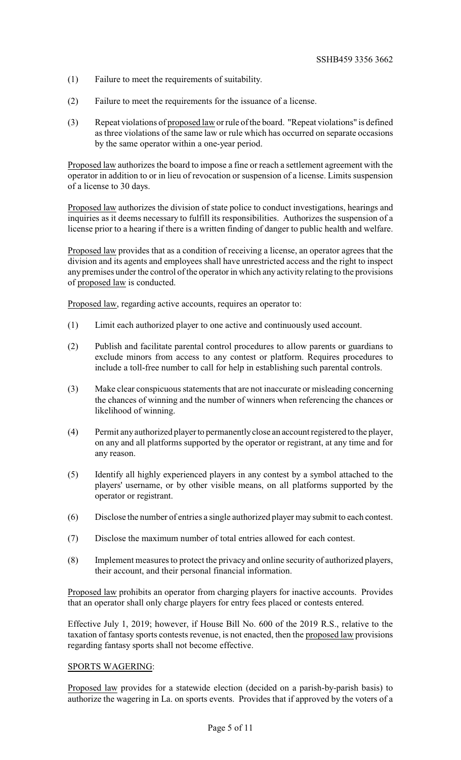- (1) Failure to meet the requirements of suitability.
- (2) Failure to meet the requirements for the issuance of a license.
- (3) Repeat violations of proposed law or rule of the board. "Repeat violations" is defined as three violations of the same law or rule which has occurred on separate occasions by the same operator within a one-year period.

Proposed law authorizes the board to impose a fine or reach a settlement agreement with the operator in addition to or in lieu of revocation or suspension of a license. Limits suspension of a license to 30 days.

Proposed law authorizes the division of state police to conduct investigations, hearings and inquiries as it deems necessary to fulfill its responsibilities. Authorizes the suspension of a license prior to a hearing if there is a written finding of danger to public health and welfare.

Proposed law provides that as a condition of receiving a license, an operator agrees that the division and its agents and employees shall have unrestricted access and the right to inspect any premises under the control of the operator in which any activity relating to the provisions of proposed law is conducted.

Proposed law, regarding active accounts, requires an operator to:

- (1) Limit each authorized player to one active and continuously used account.
- (2) Publish and facilitate parental control procedures to allow parents or guardians to exclude minors from access to any contest or platform. Requires procedures to include a toll-free number to call for help in establishing such parental controls.
- (3) Make clear conspicuous statements that are not inaccurate or misleading concerning the chances of winning and the number of winners when referencing the chances or likelihood of winning.
- (4) Permit anyauthorized player to permanentlyclose an account registered to the player, on any and all platforms supported by the operator or registrant, at any time and for any reason.
- (5) Identify all highly experienced players in any contest by a symbol attached to the players' username, or by other visible means, on all platforms supported by the operator or registrant.
- (6) Disclose the number of entries a single authorized player may submit to each contest.
- (7) Disclose the maximum number of total entries allowed for each contest.
- (8) Implement measures to protect the privacy and online security of authorized players, their account, and their personal financial information.

Proposed law prohibits an operator from charging players for inactive accounts. Provides that an operator shall only charge players for entry fees placed or contests entered.

Effective July 1, 2019; however, if House Bill No. 600 of the 2019 R.S., relative to the taxation of fantasy sports contests revenue, is not enacted, then the proposed law provisions regarding fantasy sports shall not become effective.

#### SPORTS WAGERING:

Proposed law provides for a statewide election (decided on a parish-by-parish basis) to authorize the wagering in La. on sports events. Provides that if approved by the voters of a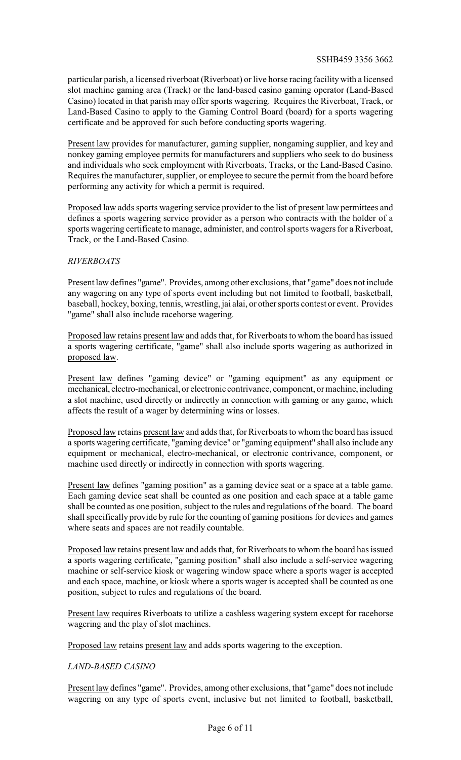particular parish, a licensed riverboat (Riverboat) or live horse racing facility with a licensed slot machine gaming area (Track) or the land-based casino gaming operator (Land-Based Casino) located in that parish may offer sports wagering. Requires the Riverboat, Track, or Land-Based Casino to apply to the Gaming Control Board (board) for a sports wagering certificate and be approved for such before conducting sports wagering.

Present law provides for manufacturer, gaming supplier, nongaming supplier, and key and nonkey gaming employee permits for manufacturers and suppliers who seek to do business and individuals who seek employment with Riverboats, Tracks, or the Land-Based Casino. Requires the manufacturer, supplier, or employee to secure the permit from the board before performing any activity for which a permit is required.

Proposed law adds sports wagering service provider to the list of present law permittees and defines a sports wagering service provider as a person who contracts with the holder of a sports wagering certificate to manage, administer, and control sports wagers for a Riverboat, Track, or the Land-Based Casino.

## *RIVERBOATS*

Present law defines "game". Provides, among other exclusions, that "game" does not include any wagering on any type of sports event including but not limited to football, basketball, baseball, hockey, boxing, tennis, wrestling, jai alai, or other sports contest or event. Provides "game" shall also include racehorse wagering.

Proposed law retains present law and adds that, for Riverboats to whom the board has issued a sports wagering certificate, "game" shall also include sports wagering as authorized in proposed law.

Present law defines "gaming device" or "gaming equipment" as any equipment or mechanical, electro-mechanical, or electronic contrivance, component, or machine, including a slot machine, used directly or indirectly in connection with gaming or any game, which affects the result of a wager by determining wins or losses.

Proposed law retains present law and adds that, for Riverboats to whom the board has issued a sports wagering certificate, "gaming device" or "gaming equipment" shall also include any equipment or mechanical, electro-mechanical, or electronic contrivance, component, or machine used directly or indirectly in connection with sports wagering.

Present law defines "gaming position" as a gaming device seat or a space at a table game. Each gaming device seat shall be counted as one position and each space at a table game shall be counted as one position, subject to the rules and regulations of the board. The board shall specifically provide by rule for the counting of gaming positions for devices and games where seats and spaces are not readily countable.

Proposed law retains present law and adds that, for Riverboats to whom the board has issued a sports wagering certificate, "gaming position" shall also include a self-service wagering machine or self-service kiosk or wagering window space where a sports wager is accepted and each space, machine, or kiosk where a sports wager is accepted shall be counted as one position, subject to rules and regulations of the board.

Present law requires Riverboats to utilize a cashless wagering system except for racehorse wagering and the play of slot machines.

Proposed law retains present law and adds sports wagering to the exception.

## *LAND-BASED CASINO*

Present law defines "game". Provides, among other exclusions, that "game" does not include wagering on any type of sports event, inclusive but not limited to football, basketball,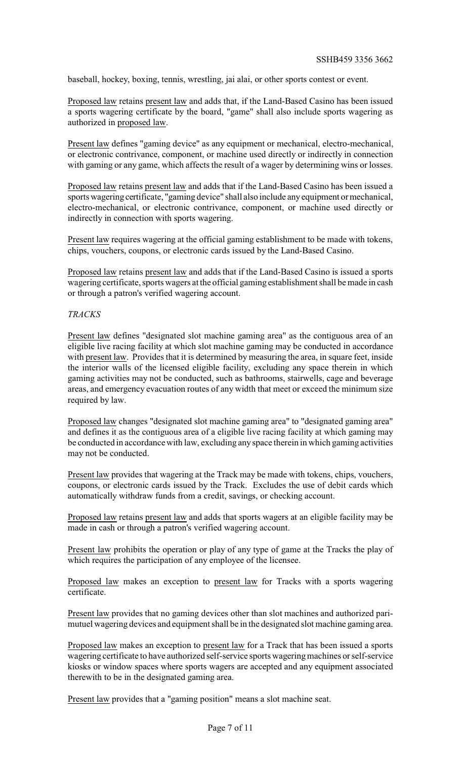baseball, hockey, boxing, tennis, wrestling, jai alai, or other sports contest or event.

Proposed law retains present law and adds that, if the Land-Based Casino has been issued a sports wagering certificate by the board, "game" shall also include sports wagering as authorized in proposed law.

Present law defines "gaming device" as any equipment or mechanical, electro-mechanical, or electronic contrivance, component, or machine used directly or indirectly in connection with gaming or any game, which affects the result of a wager by determining wins or losses.

Proposed law retains present law and adds that if the Land-Based Casino has been issued a sports wagering certificate, "gaming device" shall also include anyequipment or mechanical, electro-mechanical, or electronic contrivance, component, or machine used directly or indirectly in connection with sports wagering.

Present law requires wagering at the official gaming establishment to be made with tokens, chips, vouchers, coupons, or electronic cards issued by the Land-Based Casino.

Proposed law retains present law and adds that if the Land-Based Casino is issued a sports wagering certificate, sports wagers at the official gaming establishment shall be made in cash or through a patron's verified wagering account.

#### *TRACKS*

Present law defines "designated slot machine gaming area" as the contiguous area of an eligible live racing facility at which slot machine gaming may be conducted in accordance with present law. Provides that it is determined by measuring the area, in square feet, inside the interior walls of the licensed eligible facility, excluding any space therein in which gaming activities may not be conducted, such as bathrooms, stairwells, cage and beverage areas, and emergency evacuation routes of any width that meet or exceed the minimum size required by law.

Proposed law changes "designated slot machine gaming area" to "designated gaming area" and defines it as the contiguous area of a eligible live racing facility at which gaming may be conducted in accordance with law, excluding any space therein in which gaming activities may not be conducted.

Present law provides that wagering at the Track may be made with tokens, chips, vouchers, coupons, or electronic cards issued by the Track. Excludes the use of debit cards which automatically withdraw funds from a credit, savings, or checking account.

Proposed law retains present law and adds that sports wagers at an eligible facility may be made in cash or through a patron's verified wagering account.

Present law prohibits the operation or play of any type of game at the Tracks the play of which requires the participation of any employee of the licensee.

Proposed law makes an exception to present law for Tracks with a sports wagering certificate.

Present law provides that no gaming devices other than slot machines and authorized parimutuel wagering devices and equipment shall be in the designated slot machine gaming area.

Proposed law makes an exception to present law for a Track that has been issued a sports wagering certificate to have authorized self-service sports wageringmachines or self-service kiosks or window spaces where sports wagers are accepted and any equipment associated therewith to be in the designated gaming area.

Present law provides that a "gaming position" means a slot machine seat.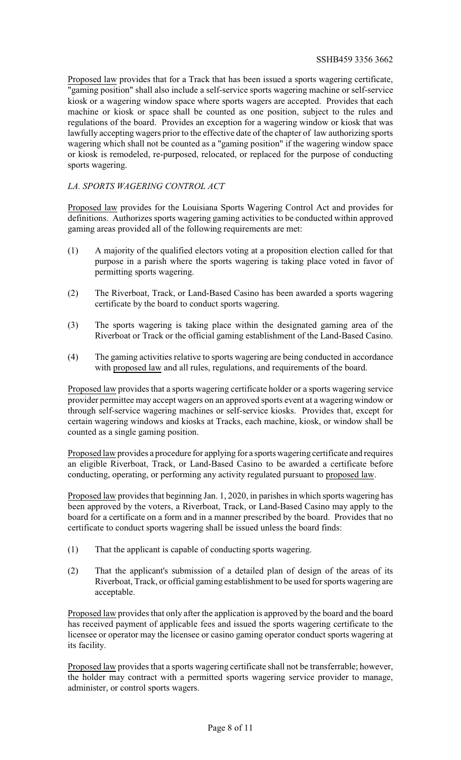Proposed law provides that for a Track that has been issued a sports wagering certificate, "gaming position" shall also include a self-service sports wagering machine or self-service kiosk or a wagering window space where sports wagers are accepted. Provides that each machine or kiosk or space shall be counted as one position, subject to the rules and regulations of the board. Provides an exception for a wagering window or kiosk that was lawfully accepting wagers prior to the effective date of the chapter of law authorizing sports wagering which shall not be counted as a "gaming position" if the wagering window space or kiosk is remodeled, re-purposed, relocated, or replaced for the purpose of conducting sports wagering.

## *LA. SPORTS WAGERING CONTROL ACT*

Proposed law provides for the Louisiana Sports Wagering Control Act and provides for definitions. Authorizes sports wagering gaming activities to be conducted within approved gaming areas provided all of the following requirements are met:

- (1) A majority of the qualified electors voting at a proposition election called for that purpose in a parish where the sports wagering is taking place voted in favor of permitting sports wagering.
- (2) The Riverboat, Track, or Land-Based Casino has been awarded a sports wagering certificate by the board to conduct sports wagering.
- (3) The sports wagering is taking place within the designated gaming area of the Riverboat or Track or the official gaming establishment of the Land-Based Casino.
- (4) The gaming activities relative to sports wagering are being conducted in accordance with proposed law and all rules, regulations, and requirements of the board.

Proposed law provides that a sports wagering certificate holder or a sports wagering service provider permittee may accept wagers on an approved sports event at a wagering window or through self-service wagering machines or self-service kiosks. Provides that, except for certain wagering windows and kiosks at Tracks, each machine, kiosk, or window shall be counted as a single gaming position.

Proposed law provides a procedure for applying for a sports wagering certificate and requires an eligible Riverboat, Track, or Land-Based Casino to be awarded a certificate before conducting, operating, or performing any activity regulated pursuant to proposed law.

Proposed law provides that beginning Jan. 1, 2020, in parishes in which sports wagering has been approved by the voters, a Riverboat, Track, or Land-Based Casino may apply to the board for a certificate on a form and in a manner prescribed by the board. Provides that no certificate to conduct sports wagering shall be issued unless the board finds:

- (1) That the applicant is capable of conducting sports wagering.
- (2) That the applicant's submission of a detailed plan of design of the areas of its Riverboat, Track, or official gaming establishment to be used for sports wagering are acceptable.

Proposed law provides that only after the application is approved by the board and the board has received payment of applicable fees and issued the sports wagering certificate to the licensee or operator may the licensee or casino gaming operator conduct sports wagering at its facility.

Proposed law provides that a sports wagering certificate shall not be transferrable; however, the holder may contract with a permitted sports wagering service provider to manage, administer, or control sports wagers.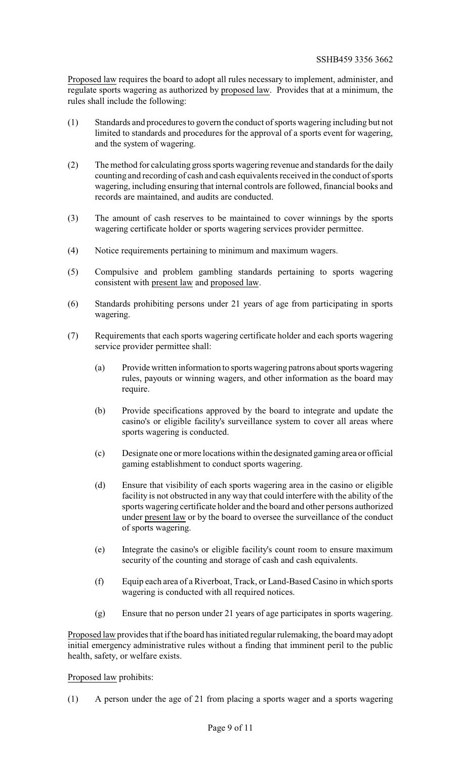Proposed law requires the board to adopt all rules necessary to implement, administer, and regulate sports wagering as authorized by proposed law. Provides that at a minimum, the rules shall include the following:

- (1) Standards and procedures to govern the conduct of sports wagering including but not limited to standards and procedures for the approval of a sports event for wagering, and the system of wagering.
- (2) The method for calculating gross sports wagering revenue and standards for the daily counting and recording of cash and cash equivalents received in the conduct of sports wagering, including ensuring that internal controls are followed, financial books and records are maintained, and audits are conducted.
- (3) The amount of cash reserves to be maintained to cover winnings by the sports wagering certificate holder or sports wagering services provider permittee.
- (4) Notice requirements pertaining to minimum and maximum wagers.
- (5) Compulsive and problem gambling standards pertaining to sports wagering consistent with present law and proposed law.
- (6) Standards prohibiting persons under 21 years of age from participating in sports wagering.
- (7) Requirements that each sports wagering certificate holder and each sports wagering service provider permittee shall:
	- (a) Provide written information to sports wagering patrons about sportswagering rules, payouts or winning wagers, and other information as the board may require.
	- (b) Provide specifications approved by the board to integrate and update the casino's or eligible facility's surveillance system to cover all areas where sports wagering is conducted.
	- (c) Designate one or more locations within the designated gaming area or official gaming establishment to conduct sports wagering.
	- (d) Ensure that visibility of each sports wagering area in the casino or eligible facility is not obstructed in any way that could interfere with the ability of the sports wagering certificate holder and the board and other persons authorized under present law or by the board to oversee the surveillance of the conduct of sports wagering.
	- (e) Integrate the casino's or eligible facility's count room to ensure maximum security of the counting and storage of cash and cash equivalents.
	- (f) Equip each area of a Riverboat, Track, or Land-Based Casino in which sports wagering is conducted with all required notices.
	- (g) Ensure that no person under 21 years of age participates in sports wagering.

Proposed law provides that if the board has initiated regular rulemaking, the board may adopt initial emergency administrative rules without a finding that imminent peril to the public health, safety, or welfare exists.

Proposed law prohibits:

(1) A person under the age of 21 from placing a sports wager and a sports wagering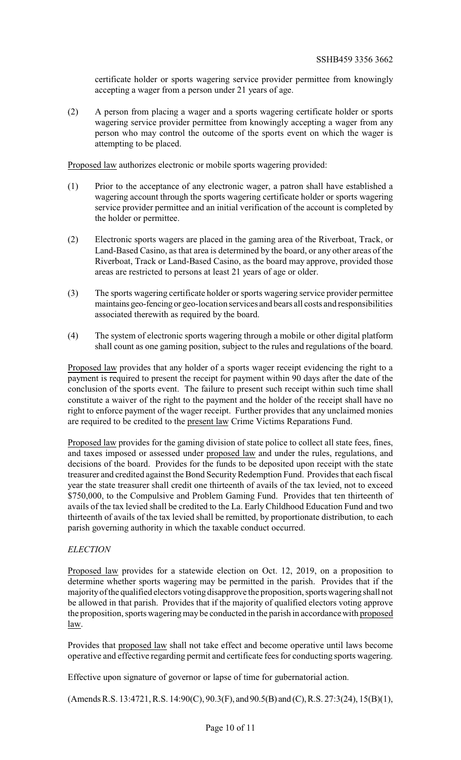certificate holder or sports wagering service provider permittee from knowingly accepting a wager from a person under 21 years of age.

(2) A person from placing a wager and a sports wagering certificate holder or sports wagering service provider permittee from knowingly accepting a wager from any person who may control the outcome of the sports event on which the wager is attempting to be placed.

Proposed law authorizes electronic or mobile sports wagering provided:

- (1) Prior to the acceptance of any electronic wager, a patron shall have established a wagering account through the sports wagering certificate holder or sports wagering service provider permittee and an initial verification of the account is completed by the holder or permittee.
- (2) Electronic sports wagers are placed in the gaming area of the Riverboat, Track, or Land-Based Casino, as that area is determined by the board, or any other areas of the Riverboat, Track or Land-Based Casino, as the board may approve, provided those areas are restricted to persons at least 21 years of age or older.
- (3) The sports wagering certificate holder or sports wagering service provider permittee maintains geo-fencing or geo-location services and bears all costs and responsibilities associated therewith as required by the board.
- (4) The system of electronic sports wagering through a mobile or other digital platform shall count as one gaming position, subject to the rules and regulations of the board.

Proposed law provides that any holder of a sports wager receipt evidencing the right to a payment is required to present the receipt for payment within 90 days after the date of the conclusion of the sports event. The failure to present such receipt within such time shall constitute a waiver of the right to the payment and the holder of the receipt shall have no right to enforce payment of the wager receipt. Further provides that any unclaimed monies are required to be credited to the present law Crime Victims Reparations Fund.

Proposed law provides for the gaming division of state police to collect all state fees, fines, and taxes imposed or assessed under proposed law and under the rules, regulations, and decisions of the board. Provides for the funds to be deposited upon receipt with the state treasurer and credited against the Bond Security Redemption Fund. Provides that each fiscal year the state treasurer shall credit one thirteenth of avails of the tax levied, not to exceed \$750,000, to the Compulsive and Problem Gaming Fund. Provides that ten thirteenth of avails of the tax levied shall be credited to the La. Early Childhood Education Fund and two thirteenth of avails of the tax levied shall be remitted, by proportionate distribution, to each parish governing authority in which the taxable conduct occurred.

## *ELECTION*

Proposed law provides for a statewide election on Oct. 12, 2019, on a proposition to determine whether sports wagering may be permitted in the parish. Provides that if the majorityof the qualified electors voting disapprove the proposition, sports wagering shall not be allowed in that parish. Provides that if the majority of qualified electors voting approve the proposition, sports wagering may be conducted in the parish in accordance with proposed law.

Provides that proposed law shall not take effect and become operative until laws become operative and effective regarding permit and certificate fees for conducting sports wagering.

Effective upon signature of governor or lapse of time for gubernatorial action.

(Amends R.S. 13:4721, R.S. 14:90(C), 90.3(F), and 90.5(B) and (C),R.S. 27:3(24), 15(B)(1),